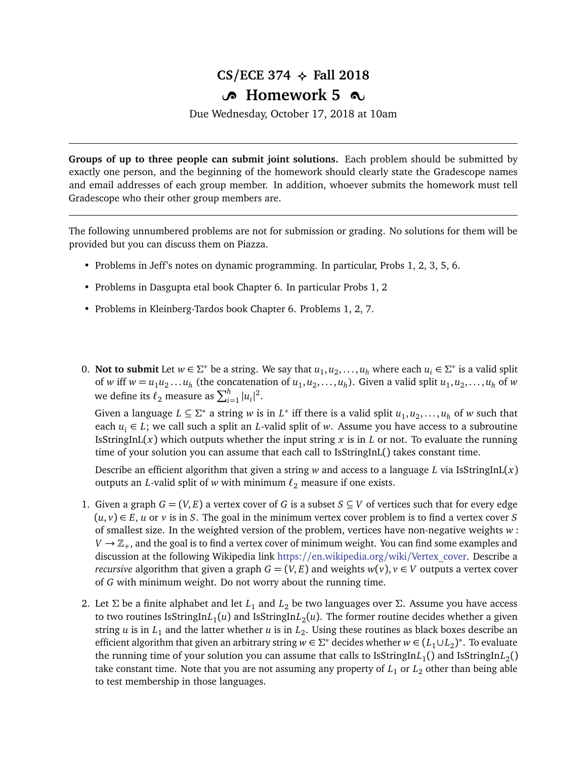## $CS/ECE$  374  $\leftrightarrow$  Fall 2018

## **B** Homework 5  $\infty$

Due Wednesday, October 17, 2018 at 10am

**Groups of up to three people can submit joint solutions.** Each problem should be submitted by exactly one person, and the beginning of the homework should clearly state the Gradescope names and email addresses of each group member. In addition, whoever submits the homework must tell Gradescope who their other group members are.

The following unnumbered problems are not for submission or grading. No solutions for them will be provided but you can discuss them on Piazza.

- Problems in Jeff's notes on dynamic programming. In particular, Probs 1, 2, 3, 5, 6.
- Problems in Dasgupta etal book Chapter 6. In particular Probs 1, 2
- Problems in Kleinberg-Tardos book Chapter 6. Problems 1, 2, 7.
- 0. **Not to submit** Let  $w \in \Sigma^*$  be a string. We say that  $u_1, u_2, \ldots, u_h$  where each  $u_i \in \Sigma^*$  is a valid split of *w* iff  $w = u_1 u_2 ... u_h$  (the concatenation of  $u_1, u_2, ..., u_h$ ). Given a valid split  $u_1, u_2, ..., u_h$  of *w* we define its  $\ell_2$  measure as  $\sum_{i=1}^h |u_i|^2$ .

Given a language  $L \subseteq \Sigma^*$  a string *w* is in  $L^*$  iff there is a valid split  $u_1, u_2, \ldots, u_h$  of *w* such that each  $u_i \in L$ ; we call such a split an *L*-valid split of *w*. Assume you have access to a subroutine IsStringInL( $x$ ) which outputs whether the input string  $x$  is in  $L$  or not. To evaluate the running time of your solution you can assume that each call to IsStringInL() takes constant time.

Describe an efficient algorithm that given a string  $w$  and access to a language  $L$  via IsStringInL $(x)$ outputs an *L*-valid split of *w* with minimum  $\ell_2$  measure if one exists.

- 1. Given a graph  $G = (V, E)$  a vertex cover of G is a subset  $S \subseteq V$  of vertices such that for every edge  $(u, v) \in E$ , *u* or *v* is in *S*. The goal in the minimum vertex cover problem is to find a vertex cover *S* of smallest size. In the weighted version of the problem, vertices have non-negative weights *w* :  $V \rightarrow \mathbb{Z}_+$ , and the goal is to find a vertex cover of minimum weight. You can find some examples and discussion at the following Wikipedia link https://[en.wikipedia.org](https://en.wikipedia.org/wiki/Vertex_cover)/wiki/Vertex\_cover. Describe a *recursive* algorithm that given a graph  $G = (V, E)$  and weights  $w(v)$ ,  $v \in V$  outputs a vertex cover of *G* with minimum weight. Do not worry about the running time.
- 2. Let *Σ* be a finite alphabet and let *L*<sup>1</sup> and *L*<sup>2</sup> be two languages over *Σ*. Assume you have access to two routines IsStringIn $L_1(u)$  and IsStringIn $L_2(u)$ . The former routine decides whether a given string *u* is in *L*<sup>1</sup> and the latter whether *u* is in *L*<sup>2</sup> . Using these routines as black boxes describe an efficient algorithm that given an arbitrary string  $w \in \Sigma^*$  decides whether  $w \in (L_1 \cup L_2)^*$ . To evaluate the running time of your solution you can assume that calls to IsStringIn $L_1$ () and IsStringIn $L_2$ () take constant time. Note that you are not assuming any property of  $L_1$  or  $L_2$  other than being able to test membership in those languages.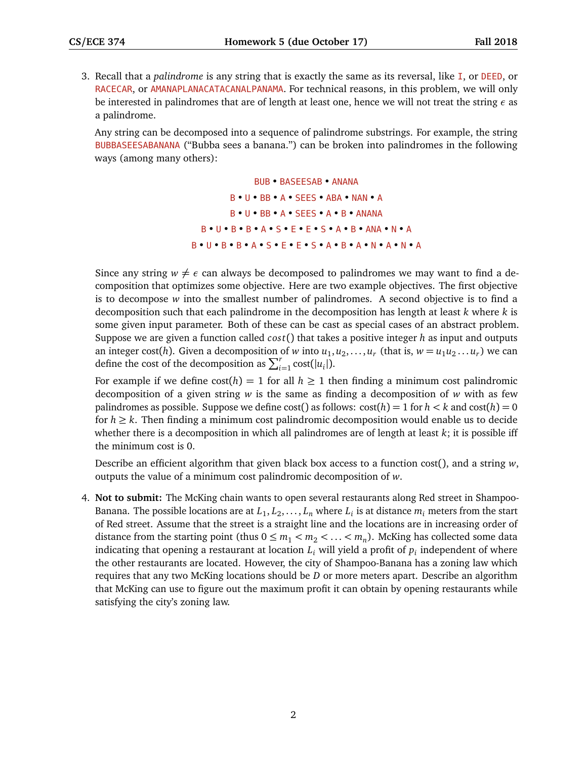3. Recall that a *palindrome* is any string that is exactly the same as its reversal, like I, or DEED, or RACECAR, or AMANAPLANACATACANALPANAMA. For technical reasons, in this problem, we will only be interested in palindromes that are of length at least one, hence we will not treat the string *ε* as a palindrome.

Any string can be decomposed into a sequence of palindrome substrings. For example, the string BUBBASEESABANANA ("Bubba sees a banana.") can be broken into palindromes in the following ways (among many others):

> BUB • BASEESAB • ANANA B • U • BB • A • SEES • ABA • NAN • A B • U • BB • A • SEES • A • B • ANANA B • U • B • B • A • S • E • E • S • A • B • ANA • N • A B • U • B • B • A • S • E • E • S • A • B • A • N • A • N • A

Since any string  $w \neq \epsilon$  can always be decomposed to palindromes we may want to find a decomposition that optimizes some objective. Here are two example objectives. The first objective is to decompose *w* into the smallest number of palindromes. A second objective is to find a decomposition such that each palindrome in the decomposition has length at least *k* where *k* is some given input parameter. Both of these can be cast as special cases of an abstract problem. Suppose we are given a function called *cos t*() that takes a positive integer *h* as input and outputs an integer cost(h). Given a decomposition of *w* into  $u_1, u_2, \ldots, u_r$  (that is,  $w = u_1 u_2 \ldots u_r$ ) we can define the cost of the decomposition as  $\sum_{i=1}^{r} \text{cost}(|u_i|)$ .

For example if we define  $cost(h) = 1$  for all  $h \ge 1$  then finding a minimum cost palindromic decomposition of a given string *w* is the same as finding a decomposition of *w* with as few palindromes as possible. Suppose we define cost() as follows:  $\text{cost}(h) = 1$  for  $h < k$  and  $\text{cost}(h) = 0$ for  $h \geq k$ . Then finding a minimum cost palindromic decomposition would enable us to decide whether there is a decomposition in which all palindromes are of length at least *k*; it is possible iff the minimum cost is 0.

Describe an efficient algorithm that given black box access to a function cost(), and a string *w*, outputs the value of a minimum cost palindromic decomposition of *w*.

4. **Not to submit:** The McKing chain wants to open several restaurants along Red street in Shampoo-Banana. The possible locations are at  $L_1, L_2, \ldots, L_n$  where  $L_i$  is at distance  $m_i$  meters from the start of Red street. Assume that the street is a straight line and the locations are in increasing order of distance from the starting point (thus  $0 \le m_1 < m_2 < \ldots < m_n$ ). McKing has collected some data indicating that opening a restaurant at location *L<sup>i</sup>* will yield a profit of *p<sup>i</sup>* independent of where the other restaurants are located. However, the city of Shampoo-Banana has a zoning law which requires that any two McKing locations should be *D* or more meters apart. Describe an algorithm that McKing can use to figure out the maximum profit it can obtain by opening restaurants while satisfying the city's zoning law.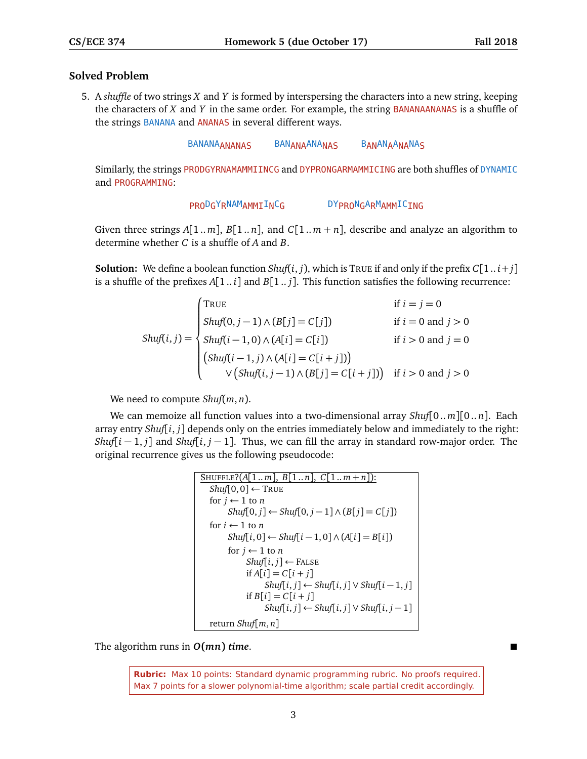## **Solved Problem**

5. A *shuffle* of two strings *X* and *Y* is formed by interspersing the characters into a new string, keeping the characters of *X* and *Y* in the same order. For example, the string BANANAANANAS is a shuffle of the strings BANANA and ANANAS in several different ways.

BANANA<sub>ANANAS</sub> BAN<sub>ANA</sub>ANA<sub>NAS</sub> B<sub>AN</sub>AN<sub>A</sub>A<sub>NA</sub>NA<sub>S</sub>

Similarly, the strings PRODGYRNAMAMMIINCG and DYPRONGARMAMMICING are both shuffles of DYNAMIC and PROGRAMMING:

```
PRODGYRNAMAMMIINCG DYPRONGARMAMMICING
```
Given three strings  $A[1..m], B[1..n]$ , and  $C[1..m+n]$ , describe and analyze an algorithm to determine whether *C* is a shuffle of *A* and *B*.

**Solution:** We define a boolean function *Shuf*( $i$ ,  $j$ ), which is TRUE if and only if the prefix  $C[1..i+j]$ is a shuffle of the prefixes  $A[1..i]$  and  $B[1..j]$ . This function satisfies the following recurrence:

$$
Shuff(i,j) = \begin{cases} \n\text{True} & \text{if } i = j = 0 \\ \n\text{Shuff}(0, j-1) \land (B[j] = C[j]) & \text{if } i = 0 \text{ and } j > 0 \\ \n\text{Shuff}(i-1, 0) \land (A[i] = C[i]) & \text{if } i > 0 \text{ and } j = 0 \\ \n\text{Shuff}(i-1, j) \land (A[i] = C[i+j]) & \text{if } i > 0 \text{ and } j > 0 \\ \n\lor (\text{Shuff}(i, j-1) \land (B[j] = C[i+j])) & \text{if } i > 0 \text{ and } j > 0 \n\end{cases}
$$

We need to compute *Shuf*(*m*, *n*).

We can memoize all function values into a two-dimensional array *Shuf*[0.. *m*][0.. *n*]. Each array entry *Shuf*[ $i$ ,  $j$ ] depends only on the entries immediately below and immediately to the right: *Shuf*[ $i - 1$ , *j*] and *Shuf*[ $i$ ,  $j - 1$ ]. Thus, we can fill the array in standard row-major order. The original recurrence gives us the following pseudocode:

```
SHUFFLE?(A[1..m], B[1..n], C[1..m+n]):
Shuf[0, 0] ← TRUE
for j \leftarrow 1 to n
     Shuff[0, j] ← Shuff[0, j-1] ∧ (B[j] = C[j])for i \leftarrow 1 to n
     Shuff[i, 0] ← Shuff[i-1, 0] ∧ (A[i] = B[i])for j \leftarrow 1 to n
          Shuff[i, j] \leftarrow FALEif A[i] = C[i + j]Shuff[i, j] ← Shuff[i, j] ∨ Shuff[i-1, j]if B[i] = C[i + j]Shuff[i, j] ← Shuff[i, j] ∨ Shuff[i, j-1]return Shuf[m, n]
```
The algorithm runs in *O***(***mn***)** *time*.

**Rubric:** Max 10 points: Standard dynamic programming rubric. No proofs required. Max 7 points for a slower polynomial-time algorithm; scale partial credit accordingly.